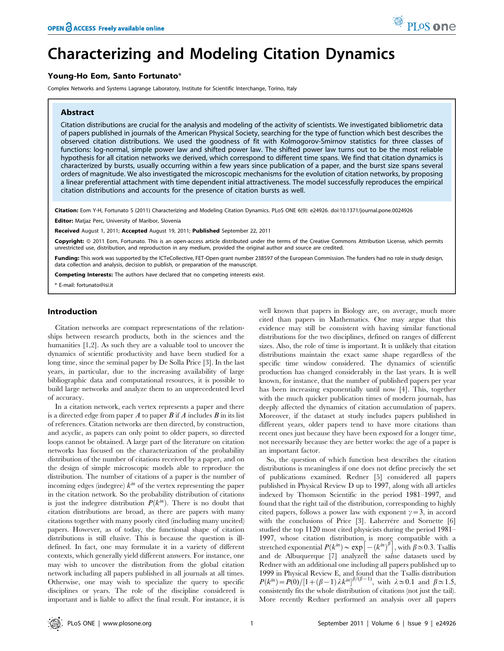# Characterizing and Modeling Citation Dynamics

# Young-Ho Eom, Santo Fortunato\*

Complex Networks and Systems Lagrange Laboratory, Institute for Scientific Interchange, Torino, Italy

# Abstract

Citation distributions are crucial for the analysis and modeling of the activity of scientists. We investigated bibliometric data of papers published in journals of the American Physical Society, searching for the type of function which best describes the observed citation distributions. We used the goodness of fit with Kolmogorov-Smirnov statistics for three classes of functions: log-normal, simple power law and shifted power law. The shifted power law turns out to be the most reliable hypothesis for all citation networks we derived, which correspond to different time spans. We find that citation dynamics is characterized by bursts, usually occurring within a few years since publication of a paper, and the burst size spans several orders of magnitude. We also investigated the microscopic mechanisms for the evolution of citation networks, by proposing a linear preferential attachment with time dependent initial attractiveness. The model successfully reproduces the empirical citation distributions and accounts for the presence of citation bursts as well.

Citation: Eom Y-H, Fortunato S (2011) Characterizing and Modeling Citation Dynamics. PLoS ONE 6(9): e24926. doi:10.1371/journal.pone.0024926

Editor: Matjaz Perc, University of Maribor, Slovenia

Received August 1, 2011; Accepted August 19, 2011; Published September 22, 2011

Copyright: © 2011 Eom, Fortunato. This is an open-access article distributed under the terms of the Creative Commons Attribution License, which permits unrestricted use, distribution, and reproduction in any medium, provided the original author and source are credited.

Funding: This work was supported by the ICTeCollective, FET-Open grant number 238597 of the European Commission. The funders had no role in study design, data collection and analysis, decision to publish, or preparation of the manuscript.

Competing Interests: The authors have declared that no competing interests exist.

\* E-mail: fortunato@isi.it

## Introduction

Citation networks are compact representations of the relationships between research products, both in the sciences and the humanities [1,2]. As such they are a valuable tool to uncover the dynamics of scientific productivity and have been studied for a long time, since the seminal paper by De Solla Price [3]. In the last years, in particular, due to the increasing availability of large bibliographic data and computational resources, it is possible to build large networks and analyze them to an unprecedented level of accuracy.

In a citation network, each vertex represents a paper and there is a directed edge from paper A to paper B if A includes B in its list of references. Citation networks are then directed, by construction, and acyclic, as papers can only point to older papers, so directed loops cannot be obtained. A large part of the literature on citation networks has focused on the characterization of the probability distribution of the number of citations received by a paper, and on the design of simple microscopic models able to reproduce the distribution. The number of citations of a paper is the number of incoming edges (indegree)  $k^{in}$  of the vertex representing the paper in the citation network. So the probability distribution of citations is just the indegree distribution  $P(k^{in})$ . There is no doubt that citation distributions are broad, as there are papers with many citations together with many poorly cited (including many uncited) papers. However, as of today, the functional shape of citation distributions is still elusive. This is because the question is illdefined. In fact, one may formulate it in a variety of different contexts, which generally yield different answers. For instance, one may wish to uncover the distribution from the global citation network including all papers published in all journals at all times. Otherwise, one may wish to specialize the query to specific disciplines or years. The role of the discipline considered is important and is liable to affect the final result. For instance, it is well known that papers in Biology are, on average, much more cited than papers in Mathematics. One may argue that this evidence may still be consistent with having similar functional distributions for the two disciplines, defined on ranges of different sizes. Also, the role of time is important. It is unlikely that citation distributions maintain the exact same shape regardless of the specific time window considered. The dynamics of scientific production has changed considerably in the last years. It is well known, for instance, that the number of published papers per year has been increasing exponentially until now [4]. This, together with the much quicker publication times of modern journals, has deeply affected the dynamics of citation accumulation of papers. Moreover, if the dataset at study includes papers published in different years, older papers tend to have more citations than recent ones just because they have been exposed for a longer time, not necessarily because they are better works: the age of a paper is an important factor.

So, the question of which function best describes the citation distributions is meaningless if one does not define precisely the set of publications examined. Redner [5] considered all papers published in Physical Review D up to 1997, along with all articles indexed by Thomson Scientific in the period 1981–1997, and found that the right tail of the distribution, corresponding to highly cited papers, follows a power law with exponent  $\gamma=3$ , in accord with the conclusions of Price [3]. Laherre<sup>ci</sup>re and Sornette [6] studied the top 1120 most cited physicists during the period 1981– 1997, whose citation distribution is more compatible with a stretched exponential  $P(k^{in}) \sim \exp[-(k^{in})^{\beta}]$ , with  $\beta \approx 0.3$ . Tsallis and de Albuquerque [7] analyzed the same datasets used by Redner with an additional one including all papers published up to 1999 in Physical Review E, and found that the Tsallis distribution  $P(k^m) = P(0)/[1 + (\beta - 1)\lambda k^m]^{\beta/(\beta - 1)}$ , with  $\lambda \approx 0.1$  and  $\beta \approx 1.5$ , consistently fits the whole distribution of citations (not just the tail). More recently Redner performed an analysis over all papers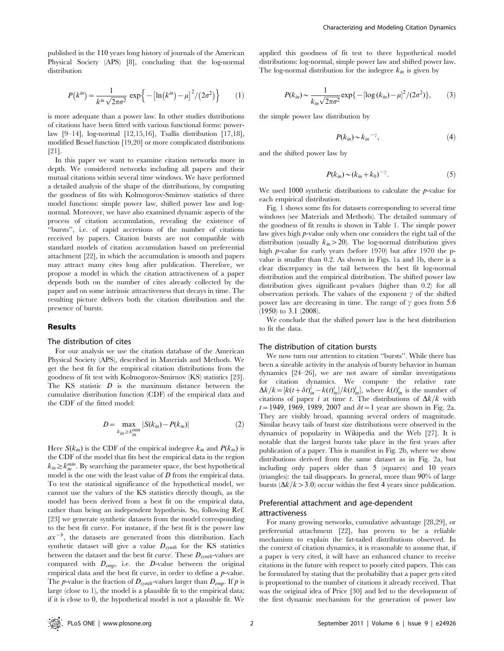published in the 110 years long history of journals of the American Physical Society (APS) [8], concluding that the log-normal distribution

$$
P(k^{in}) = \frac{1}{k^{in}\sqrt{2\pi\sigma^2}} \exp\left\{-\left[\ln(k^{in}) - \mu\right]^2 / (2\sigma^2)\right\} \tag{1}
$$

is more adequate than a power law. In other studies distributions of citations have been fitted with various functional forms: powerlaw [9–14], log-normal [12,15,16], Tsallis distribution [17,18], modified Bessel function [19,20] or more complicated distributions [21].

In this paper we want to examine citation networks more in depth. We considered networks including all papers and their mutual citations within several time windows. We have performed a detailed analysis of the shape of the distributions, by computing the goodness of fits with Kolmogorov-Smirnov statistics of three model functions: simple power law, shifted power law and lognormal. Moreover, we have also examined dynamic aspects of the process of citation accumulation, revealing the existence of ''bursts'', i.e. of rapid accretions of the number of citations received by papers. Citation bursts are not compatible with standard models of citation accumulation based on preferential attachment [22], in which the accumulation is smooth and papers may attract many cites long after publication. Therefore, we propose a model in which the citation attractiveness of a paper depends both on the number of cites already collected by the paper and on some intrinsic attractiveness that decays in time. The resulting picture delivers both the citation distribution and the presence of bursts.

## Results

#### The distribution of cites

For our analysis we use the citation database of the American Physical Society (APS), described in Materials and Methods. We get the best fit for the empirical citation distributions from the goodness of fit test with Kolmogorov-Smirnov (KS) statistics [23]. The KS statistic  $D$  is the maximum distance between the cumulative distribution function (CDF) of the empirical data and the CDF of the fitted model:

$$
D = \max_{k_{in} \ge k_{in}^{min}} |S(k_{in}) - P(k_{in})|
$$
 (2)

Here  $S(k_{in})$  is the CDF of the empirical indegree  $k_{in}$  and  $P(k_{in})$  is the CDF of the model that fits best the empirical data in the region  $k_{in} \geq k_{in}^{min}$ . By searching the parameter space, the best hypothetical model is the one with the least value of  $D$  from the empirical data. To test the statistical significance of the hypothetical model, we cannot use the values of the KS statistics directly though, as the model has been derived from a best fit on the empirical data, rather than being an independent hypothesis. So, following Ref. [23] we generate synthetic datasets from the model corresponding to the best fit curve. For instance, if the best fit is the power law  $ax^{-b}$ , the datasets are generated from this distribution. Each synthetic dataset will give a value  $D_{synth}$  for the KS statistics between the dataset and the best fit curve. These  $D_{synth}$ -values are compared with  $D_{emp}$ , i.e. the  $D$ -value between the original empirical data and the best fit curve, in order to define a p-value. The *p*-value is the fraction of  $D_{synth}$ -values larger than  $D_{emp}$ . If *p* is large (close to 1), the model is a plausible fit to the empirical data; if it is close to 0, the hypothetical model is not a plausible fit. We

applied this goodness of fit test to three hypothetical model distributions: log-normal, simple power law and shifted power law. The log-normal distribution for the indegree  $k_{in}$  is given by

$$
P(k_{in}) \sim \frac{1}{k_{in}\sqrt{2\pi\sigma^2}} \exp\{-\left[\log\left(k_{in}\right) - \mu\right]^2 / (2\sigma^2)\},\tag{3}
$$

the simple power law distribution by

$$
P(k_{in}) \sim k_{in}^{-\gamma},\tag{4}
$$

and the shifted power law by

$$
P(k_{in}) \sim (k_{in} + k_0)^{-\gamma}.
$$
 (5)

We used 1000 synthetic distributions to calculate the *p*-value for each empirical distribution.

Fig. 1 shows some fits for datasets corresponding to several time windows (see Materials and Methods). The detailed summary of the goodness of fit results is shown in Table 1. The simple power law gives high p-value only when one considers the right tail of the distribution (usually  $k_{in} > 20$ ). The log-normal distribution gives high p-value for early years (before 1970) but after 1970 the pvalue is smaller than 0.2. As shown in Figs. 1a and 1b, there is a clear discrepancy in the tail between the best fit log-normal distribution and the empirical distribution. The shifted power law distribution gives significant p-values (higher than 0.2) for all observation periods. The values of the exponent  $\gamma$  of the shifted power law are decreasing in time. The range of  $\gamma$  goes from 5.6  $(1950)$  to 3.1  $(2008)$ .

We conclude that the shifted power law is the best distribution to fit the data.

#### The distribution of citation bursts

We now turn our attention to citation ''bursts''. While there has been a sizeable activity in the analysis of bursty behavior in human dynamics [24–26], we are not aware of similar investigations for citation dynamics. We compute the relative rate  $\Delta k/k = [k(t + \delta t)^{i}_{in} - k(t)^{i}_{in}] / k(t)^{i}_{in}]$ , where  $k(t)^{i}_{in}$  is the number of citations of paper i at time t. The distributions of  $\Delta k/k$  with  $t=1949, 1969, 1989, 2007$  and  $\delta t=1$  year are shown in Fig. 2a. They are visibly broad, spanning several orders of magnitude. Similar heavy tails of burst size distributions were observed in the dynamics of popularity in Wikipedia and the Web [27]. It is notable that the largest bursts take place in the first years after publication of a paper. This is manifest in Fig. 2b, where we show distributions derived from the same dataset as in Fig. 2a, but including only papers older than 5 (squares) and 10 years (triangles): the tail disappears. In general, more than 90% of large bursts ( $\Delta k/k > 3.0$ ) occur within the first 4 years since publication.

# Preferential attachment and age-dependent attractiveness

For many growing networks, cumulative advantage [28,29], or preferential attachment [22], has proven to be a reliable mechanism to explain the fat-tailed distributions observed. In the context of citation dynamics, it is reasonable to assume that, if a paper is very cited, it will have an enhanced chance to receive citations in the future with respect to poorly cited papers. This can be formulated by stating that the probability that a paper gets cited is proportional to the number of citations it already received. That was the original idea of Price [30] and led to the development of the first dynamic mechanism for the generation of power law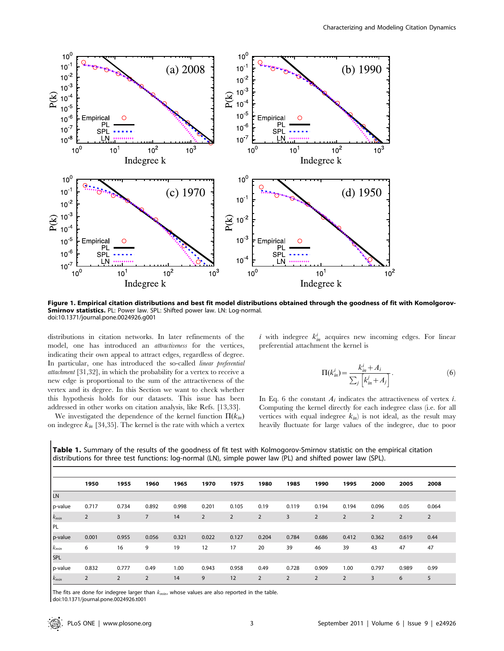

Figure 1. Empirical citation distributions and best fit model distributions obtained through the goodness of fit with Komolgorov-Smirnov statistics. PL: Power law. SPL: Shifted power law. LN: Log-normal. doi:10.1371/journal.pone.0024926.g001

distributions in citation networks. In later refinements of the model, one has introduced an attractiveness for the vertices, indicating their own appeal to attract edges, regardless of degree. In particular, one has introduced the so-called linear preferential attachment [31,32], in which the probability for a vertex to receive a new edge is proportional to the sum of the attractiveness of the vertex and its degree. In this Section we want to check whether this hypothesis holds for our datasets. This issue has been addressed in other works on citation analysis, like Refs. [13,33].

We investigated the dependence of the kernel function  $\Pi(k_{in})$ on indegree  $k_{in}$  [34,35]. The kernel is the rate with which a vertex

i with indegree  $k_{in}^{i}$  acquires new incoming edges. For linear preferential attachment the kernel is

$$
\Pi(k_{in}^i) = \frac{k_{in}^i + A_i}{\sum_j \left[k_{in}^i + A_j\right]}.
$$
\n<sup>(6)</sup>

In Eq. 6 the constant  $A_i$  indicates the attractiveness of vertex *i*. Computing the kernel directly for each indegree class (i.e. for all vertices with equal indegree  $k_{in}$  is not ideal, as the result may heavily fluctuate for large values of the indegree, due to poor

|           | 1950           | 1955           | 1960           | 1965  | 1970           | 1975           | 1980           | 1985  | 1990           | 1995           | 2000           | 2005           | 2008           |
|-----------|----------------|----------------|----------------|-------|----------------|----------------|----------------|-------|----------------|----------------|----------------|----------------|----------------|
| LN        |                |                |                |       |                |                |                |       |                |                |                |                |                |
| p-value   | 0.717          | 0.734          | 0.892          | 0.998 | 0.201          | 0.105          | 0.19           | 0.119 | 0.194          | 0.194          | 0.096          | 0.05           | 0.064          |
| $k_{min}$ | $\overline{2}$ | $\overline{3}$ | $\overline{7}$ | 14    | $\overline{2}$ | $\overline{2}$ | $\overline{2}$ | 3     | $\overline{2}$ | $\overline{2}$ | $\overline{2}$ | $\overline{2}$ | $\overline{2}$ |
| PL        |                |                |                |       |                |                |                |       |                |                |                |                |                |
| p-value   | 0.001          | 0.955          | 0.056          | 0.321 | 0.022          | 0.127          | 0.204          | 0.784 | 0.686          | 0.412          | 0.362          | 0.619          | 0.44           |
| $k_{min}$ | 6              | 16             | 9              | 19    | 12             | 17             | 20             | 39    | 46             | 39             | 43             | 47             | 47             |
| SPL       |                |                |                |       |                |                |                |       |                |                |                |                |                |
| p-value   | 0.832          | 0.777          | 0.49           | 1.00  | 0.943          | 0.958          | 0.49           | 0.728 | 0.909          | 1.00           | 0.797          | 0.989          | 0.99           |

Table 1. Summary of the results of the goodness of fit test with Kolmogorov-Smirnov statistic on the empirical citation distributions for three test functions: log-normal (LN), simple power law (PL) and shifted power law (SPL).

The fits are done for indegree larger than  $k_{min}$ , whose values are also reported in the table.

doi:10.1371/journal.pone.0024926.t001

 $k_{min}$  2 2 2 14 9 12 2 2 2 2 3 6 5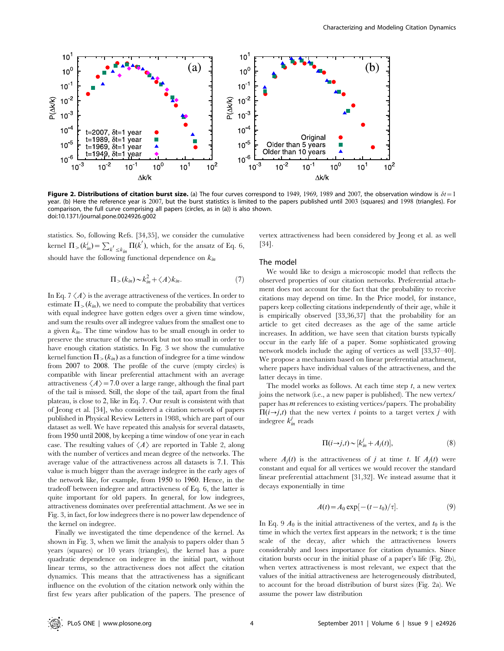

Figure 2. Distributions of citation burst size. (a) The four curves correspond to 1949, 1969, 1989 and 2007, the observation window is  $\delta t = 1$ year. (b) Here the reference year is 2007, but the burst statistics is limited to the papers published until 2003 (squares) and 1998 (triangles). For comparison, the full curve comprising all papers (circles, as in (a)) is also shown. doi:10.1371/journal.pone.0024926.g002

statistics. So, following Refs. [34,35], we consider the cumulative kernel  $\Pi_{>}(k_{in}^i) = \sum_{k' \leq k_{in}} \Pi(k')$ , which, for the ansatz of Eq. 6, should have the following functional dependence on  $k_{in}$ 

$$
\Pi_{>}(k_{in}) \sim k_{in}^{2} + \langle A \rangle k_{in}.
$$
 (7)

In Eq. 7  $\langle A \rangle$  is the average attractiveness of the vertices. In order to estimate  $\Pi_{>}(k_{in})$ , we need to compute the probability that vertices with equal indegree have gotten edges over a given time window, and sum the results over all indegree values from the smallest one to a given  $k_{in}$ . The time window has to be small enough in order to preserve the structure of the network but not too small in order to have enough citation statistics. In Fig. 3 we show the cumulative kernel function  $\Pi_{>}(k_{in})$  as a function of indegree for a time window from 2007 to 2008. The profile of the curve (empty circles) is compatible with linear preferential attachment with an average attractiveness  $\langle A \rangle$  = 7.0 over a large range, although the final part of the tail is missed. Still, the slope of the tail, apart from the final plateau, is close to 2, like in Eq. 7. Our result is consistent with that of Jeong et al. [34], who considered a citation network of papers published in Physical Review Letters in 1988, which are part of our dataset as well. We have repeated this analysis for several datasets, from 1950 until 2008, by keeping a time window of one year in each case. The resulting values of  $\langle A \rangle$  are reported in Table 2, along with the number of vertices and mean degree of the networks. The average value of the attractiveness across all datasets is 7:1. This value is much bigger than the average indegree in the early ages of the network like, for example, from 1950 to 1960. Hence, in the tradeoff between indegree and attractiveness of Eq. 6, the latter is quite important for old papers. In general, for low indegrees, attractiveness dominates over preferential attachment. As we see in Fig. 3, in fact, for low indegrees there is no power law dependence of the kernel on indegree.

Finally we investigated the time dependence of the kernel. As shown in Fig. 3, when we limit the analysis to papers older than 5 years (squares) or 10 years (triangles), the kernel has a pure quadratic dependence on indegree in the initial part, without linear terms, so the attractiveness does not affect the citation dynamics. This means that the attractiveness has a significant influence on the evolution of the citation network only within the first few years after publication of the papers. The presence of vertex attractiveness had been considered by Jeong et al. as well [34].

#### The model

We would like to design a microscopic model that reflects the observed properties of our citation networks. Preferential attachment does not account for the fact that the probability to receive citations may depend on time. In the Price model, for instance, papers keep collecting citations independently of their age, while it is empirically observed [33,36,37] that the probability for an article to get cited decreases as the age of the same article increases. In addition, we have seen that citation bursts typically occur in the early life of a paper. Some sophisticated growing network models include the aging of vertices as well [33,37–40]. We propose a mechanism based on linear preferential attachment, where papers have individual values of the attractiveness, and the latter decays in time.

The model works as follows. At each time step  $t$ , a new vertex joins the network (i.e., a new paper is published). The new vertex/ paper has  $m$  references to existing vertices/papers. The probability  $\Pi(i\rightarrow j,t)$  that the new vertex i points to a target vertex j with indegree  $k_m^j$  reads

$$
\Pi(i \to j, t) \sim [k_m^j + A_j(t)],\tag{8}
$$

where  $A_i(t)$  is the attractiveness of j at time t. If  $A_i(t)$  were constant and equal for all vertices we would recover the standard linear preferential attachment [31,32]. We instead assume that it decays exponentially in time

$$
A(t) = A_0 \exp[-(t - t_0)/\tau].
$$
 (9)

In Eq. 9  $A_0$  is the initial attractiveness of the vertex, and  $t_0$  is the time in which the vertex first appears in the network;  $\tau$  is the time scale of the decay, after which the attractiveness lowers considerably and loses importance for citation dynamics. Since citation bursts occur in the initial phase of a paper's life (Fig. 2b), when vertex attractiveness is most relevant, we expect that the values of the initial attractiveness are heterogeneously distributed, to account for the broad distribution of burst sizes (Fig. 2a). We assume the power law distribution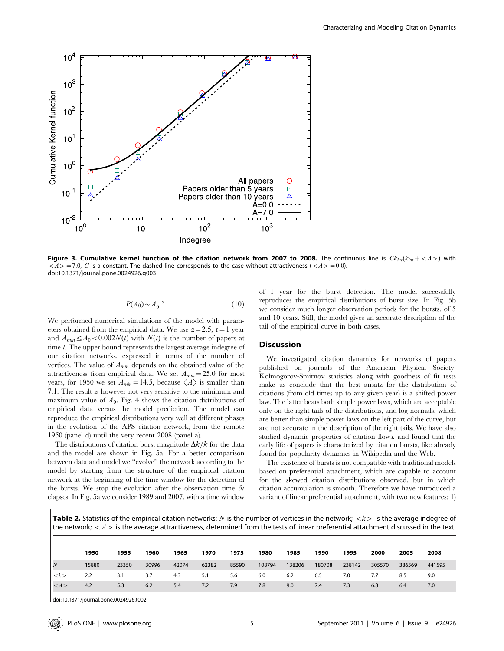

Figure 3. Cumulative kernel function of the citation network from 2007 to 2008. The continuous line is  $Ck_{int}(k_{int} + *A*>)$  with  $<\!A\!>=7.0$ , C is a constant. The dashed line corresponds to the case without attractiveness ( $<\!A\!>=0.0$ ). doi:10.1371/journal.pone.0024926.g003

$$
P(A_0) \sim A_0^{-\alpha}.\tag{10}
$$

We performed numerical simulations of the model with parameters obtained from the empirical data. We use  $\alpha = 2.5$ ,  $\tau = 1$  year and  $A_{min} \leq A_0 \leq 0.002N(t)$  with  $N(t)$  is the number of papers at time t. The upper bound represents the largest average indegree of our citation networks, expressed in terms of the number of vertices. The value of  $A_{min}$  depends on the obtained value of the attractiveness from empirical data. We set  $A_{min}=25.0$  for most years, for 1950 we set  $A_{min}=14.5$ , because  $\langle A \rangle$  is smaller than 7:1. The result is however not very sensitive to the minimum and maximum value of  $A_0$ . Fig. 4 shows the citation distributions of empirical data versus the model prediction. The model can reproduce the empirical distributions very well at different phases in the evolution of the APS citation network, from the remote 1950 (panel d) until the very recent 2008 (panel a).

The distributions of citation burst magnitude  $\Delta k/k$  for the data and the model are shown in Fig. 5a. For a better comparison between data and model we ''evolve'' the network according to the model by starting from the structure of the empirical citation network at the beginning of the time window for the detection of the bursts. We stop the evolution after the observation time  $\delta t$ elapses. In Fig. 5a we consider 1989 and 2007, with a time window

of 1 year for the burst detection. The model successfully reproduces the empirical distributions of burst size. In Fig. 5b we consider much longer observation periods for the bursts, of 5 and 10 years. Still, the model gives an accurate description of the tail of the empirical curve in both cases.

# **Discussion**

We investigated citation dynamics for networks of papers published on journals of the American Physical Society. Kolmogorov-Smirnov statistics along with goodness of fit tests make us conclude that the best ansatz for the distribution of citations (from old times up to any given year) is a shifted power law. The latter beats both simple power laws, which are acceptable only on the right tails of the distributions, and log-normals, which are better than simple power laws on the left part of the curve, but are not accurate in the description of the right tails. We have also studied dynamic properties of citation flows, and found that the early life of papers is characterized by citation bursts, like already found for popularity dynamics in Wikipedia and the Web.

The existence of bursts is not compatible with traditional models based on preferential attachment, which are capable to account for the skewed citation distributions observed, but in which citation accumulation is smooth. Therefore we have introduced a variant of linear preferential attachment, with two new features: 1)

**Table 2.** Statistics of the empirical citation networks: N is the number of vertices in the network;  $\langle k \rangle$  is the average indegree of the network;  $\langle A \rangle$  is the average attractiveness, determined from the tests of linear preferential attachment discussed in the text.

|                     | 1950  | 1955  | 1960  | 1965  | 1970  | 1975  | 1980   | 1985   | 1990   | 1995   | 2000   | 2005   | 2008   |
|---------------------|-------|-------|-------|-------|-------|-------|--------|--------|--------|--------|--------|--------|--------|
| $\overline{N}$      | 15880 | 23350 | 30996 | 42074 | 62382 | 85590 | 108794 | 138206 | 180708 | 238142 | 305570 | 386569 | 441595 |
| $\langle k \rangle$ | 2.2   | 3.1   | 3.7   | 4.3   | 5.1   | 5.6   | 6.0    | 6.2    | 6.5    | 7.0    | 7.7    | 8.5    | 9.0    |
| $\vert <\,>$        | 4.2   | 5.3   | 6.2   | 5.4   | 7.2   | 7.9   | 7.8    | 9.0    | 7.4    | 7.3    | 6.8    | 6.4    | 7.0    |

doi:10.1371/journal.pone.0024926.t002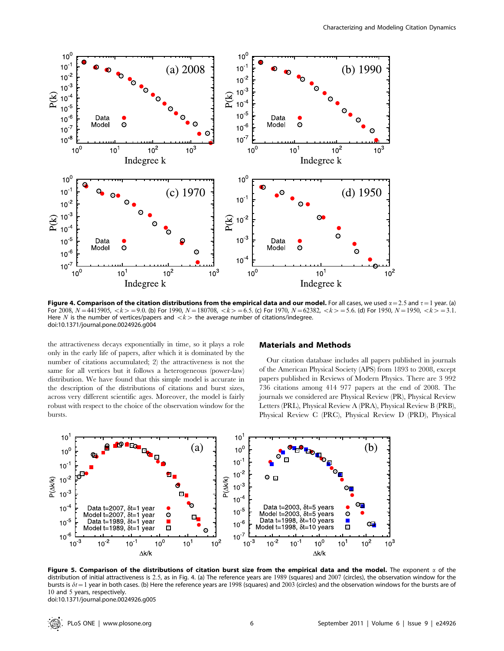

Figure 4. Comparison of the citation distributions from the empirical data and our model. For all cases, we used  $\alpha = 2.5$  and  $\tau = 1$  year. (a) For 2008,  $N=4415905$ ,  $\langle k\rangle = 9.0$ . (b) For 1990,  $N=180708$ ,  $\langle k\rangle = 6.5$ . (c) For 1970,  $N=62382$ ,  $\langle k\rangle = 5.6$ . (d) For 1950,  $N=1950$ ,  $\langle k\rangle = 3.1$ . Here N is the number of vertices/papers and  $\langle k \rangle$  the average number of citations/indegree. doi:10.1371/journal.pone.0024926.g004

the attractiveness decays exponentially in time, so it plays a role only in the early life of papers, after which it is dominated by the number of citations accumulated; 2) the attractiveness is not the same for all vertices but it follows a heterogeneous (power-law) distribution. We have found that this simple model is accurate in the description of the distributions of citations and burst sizes, across very different scientific ages. Moreover, the model is fairly robust with respect to the choice of the observation window for the bursts.

## Materials and Methods

Our citation database includes all papers published in journals of the American Physical Society (APS) from 1893 to 2008, except papers published in Reviews of Modern Physics. There are 3 992 736 citations among 414 977 papers at the end of 2008. The journals we considered are Physical Review (PR), Physical Review Letters (PRL), Physical Review A (PRA), Physical Review B (PRB), Physical Review C (PRC), Physical Review D (PRD), Physical



Figure 5. Comparison of the distributions of citation burst size from the empirical data and the model. The exponent  $\alpha$  of the distribution of initial attractiveness is 2:5, as in Fig. 4. (a) The reference years are 1989 (squares) and 2007 (circles), the observation window for the bursts is  $\delta t=1$  year in both cases. (b) Here the reference years are 1998 (squares) and 2003 (circles) and the observation windows for the bursts are of 10 and 5 years, respectively. doi:10.1371/journal.pone.0024926.g005